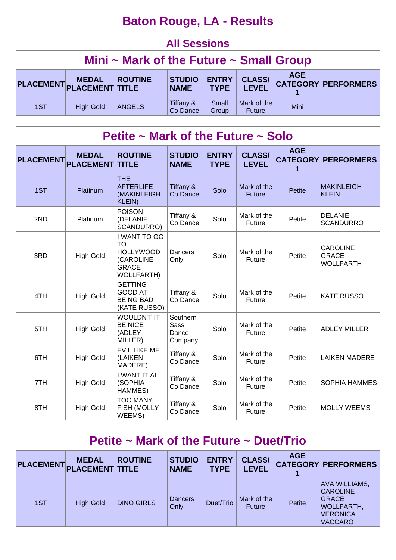# **Baton Rouge, LA - Results**

#### **All Sessions**

| Mini $\sim$ Mark of the Future $\sim$ Small Group |                                           |                |                              |                             |                               |            |                            |  |  |  |
|---------------------------------------------------|-------------------------------------------|----------------|------------------------------|-----------------------------|-------------------------------|------------|----------------------------|--|--|--|
|                                                   | <b>MEDAL</b><br>PLACEMENT PLACEMENT TITLE | <b>ROUTINE</b> | <b>STUDIO</b><br><b>NAME</b> | <b>ENTRY</b><br><b>TYPE</b> | <b>CLASS/</b><br><b>LEVEL</b> | <b>AGE</b> | <b>CATEGORY PERFORMERS</b> |  |  |  |
| 1ST                                               | <b>High Gold</b>                          | <b>ANGELS</b>  | Tiffany &<br>Co Dance        | Small<br>Group              | Mark of the<br><b>Future</b>  | Mini       |                            |  |  |  |

| Petite ~ Mark of the Future ~ Solo |                                  |                                                                                                 |                                             |                             |                               |                 |                                                     |  |  |  |  |
|------------------------------------|----------------------------------|-------------------------------------------------------------------------------------------------|---------------------------------------------|-----------------------------|-------------------------------|-----------------|-----------------------------------------------------|--|--|--|--|
| <b>PLACEMENT</b>                   | <b>MEDAL</b><br><b>PLACEMENT</b> | <b>ROUTINE</b><br><b>TITLE</b>                                                                  | <b>STUDIO</b><br><b>NAME</b>                | <b>ENTRY</b><br><b>TYPE</b> | <b>CLASS/</b><br><b>LEVEL</b> | <b>AGE</b><br>1 | <b>CATEGORY PERFORMERS</b>                          |  |  |  |  |
| 1ST                                | Platinum                         | <b>THE</b><br><b>AFTERLIFE</b><br>(MAKINLEIGH<br><b>KLEIN)</b>                                  | Tiffany &<br>Co Dance                       | Solo                        | Mark of the<br><b>Future</b>  | <b>Petite</b>   | <b>MAKINLEIGH</b><br><b>KLEIN</b>                   |  |  |  |  |
| 2ND                                | Platinum                         | <b>POISON</b><br>(DELANIE<br>SCANDURRO)                                                         | Tiffany &<br>Co Dance                       | Solo                        | Mark of the<br>Future         | Petite          | <b>DELANIE</b><br><b>SCANDURRO</b>                  |  |  |  |  |
| 3RD                                | <b>High Gold</b>                 | I WANT TO GO<br><b>TO</b><br><b>HOLLYWOOD</b><br>(CAROLINE<br><b>GRACE</b><br><b>WOLLFARTH)</b> | Dancers<br>Only                             | Solo                        | Mark of the<br>Future         | Petite          | <b>CAROLINE</b><br><b>GRACE</b><br><b>WOLLFARTH</b> |  |  |  |  |
| 4TH                                | <b>High Gold</b>                 | <b>GETTING</b><br><b>GOOD AT</b><br><b>BEING BAD</b><br>(KATE RUSSO)                            | Tiffany &<br>Co Dance                       | Solo                        | Mark of the<br>Future         | Petite          | <b>KATE RUSSO</b>                                   |  |  |  |  |
| 5TH                                | <b>High Gold</b>                 | <b>WOULDN'T IT</b><br><b>BE NICE</b><br>(ADLEY<br>MILLER)                                       | Southern<br><b>Sass</b><br>Dance<br>Company | Solo                        | Mark of the<br>Future         | Petite          | <b>ADLEY MILLER</b>                                 |  |  |  |  |
| 6TH                                | <b>High Gold</b>                 | <b>EVIL LIKE ME</b><br>(LAIKEN<br>MADERE)                                                       | Tiffany &<br>Co Dance                       | Solo                        | Mark of the<br>Future         | Petite          | <b>LAIKEN MADERE</b>                                |  |  |  |  |
| 7TH                                | <b>High Gold</b>                 | <b>I WANT IT ALL</b><br>(SOPHIA<br>HAMMES)                                                      | Tiffany &<br>Co Dance                       | Solo                        | Mark of the<br>Future         | Petite          | <b>SOPHIA HAMMES</b>                                |  |  |  |  |
| 8TH                                | <b>High Gold</b>                 | <b>TOO MANY</b><br>FISH (MOLLY<br>WEEMS)                                                        | Tiffany &<br>Co Dance                       | Solo                        | Mark of the<br>Future         | Petite          | <b>MOLLY WEEMS</b>                                  |  |  |  |  |

| Petite $\sim$ Mark of the Future $\sim$ Duet/Trio |                                        |                   |                              |                             |                               |            |                                                                                                                   |  |  |  |
|---------------------------------------------------|----------------------------------------|-------------------|------------------------------|-----------------------------|-------------------------------|------------|-------------------------------------------------------------------------------------------------------------------|--|--|--|
| <b>PLACEMENT</b>                                  | <b>MEDAL</b><br><b>PLACEMENT TITLE</b> | <b>ROUTINE</b>    | <b>STUDIO</b><br><b>NAME</b> | <b>ENTRY</b><br><b>TYPE</b> | <b>CLASS/</b><br><b>LEVEL</b> | <b>AGE</b> | <b>CATEGORY PERFORMERS</b>                                                                                        |  |  |  |
| 1ST                                               | <b>High Gold</b>                       | <b>DINO GIRLS</b> | <b>Dancers</b><br>Only       | Duet/Trio                   | Mark of the<br><b>Future</b>  | Petite     | <b>AVA WILLIAMS,</b><br><b>CAROLINE</b><br><b>GRACE</b><br><b>WOLLFARTH,</b><br><b>VERONICA</b><br><b>VACCARO</b> |  |  |  |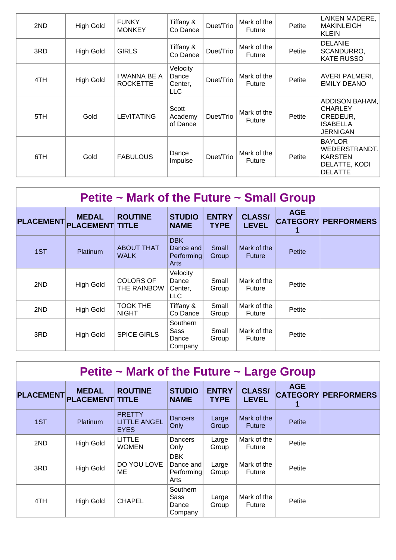| 2ND | <b>High Gold</b> | <b>FUNKY</b><br><b>MONKEY</b>   | Tiffany &<br>Co Dance               | Duet/Trio | Mark of the<br>Future        | Petite | LAIKEN MADERE,<br>MAKINLEIGH<br>KLEIN                                         |
|-----|------------------|---------------------------------|-------------------------------------|-----------|------------------------------|--------|-------------------------------------------------------------------------------|
| 3RD | <b>High Gold</b> | <b>GIRLS</b>                    | Tiffany &<br>Co Dance               | Duet/Trio | Mark of the<br><b>Future</b> | Petite | <b>DELANIE</b><br>SCANDURRO,<br><b>KATE RUSSO</b>                             |
| 4TH | <b>High Gold</b> | I WANNA BE A<br><b>ROCKETTE</b> | Velocity<br>Dance<br>Center,<br>LLC | Duet/Trio | Mark of the<br><b>Future</b> | Petite | AVERI PALMERI,<br><b>EMILY DEANO</b>                                          |
| 5TH | Gold             | <b>LEVITATING</b>               | Scott<br>Academy<br>of Dance        | Duet/Trio | Mark of the<br><b>Future</b> | Petite | <b>ADDISON BAHAM,</b><br><b>CHARLEY</b><br> CREDEUR,<br>ISABELLA<br>JERNIGAN  |
| 6TH | Gold             | <b>FABULOUS</b>                 | Dance<br>Impulse                    | Duet/Trio | Mark of the<br>Future        | Petite | <b>BAYLOR</b><br>WEDERSTRANDT,<br>IKARSTEN<br>DELATTE, KODI<br><b>DELATTE</b> |

# **Petite ~ Mark of the Future ~ Small Group**

| <b>PLACEMENT</b> | <b>MEDAL</b><br><b>PLACEMENT TITLE</b> | <b>ROUTINE</b>                   | <b>STUDIO</b><br><b>NAME</b>                  | <b>ENTRY</b><br><b>TYPE</b> | <b>CLASS/</b><br><b>LEVEL</b> | <b>AGE</b><br>1 | <b>CATEGORY PERFORMERS</b> |
|------------------|----------------------------------------|----------------------------------|-----------------------------------------------|-----------------------------|-------------------------------|-----------------|----------------------------|
| 1ST              | Platinum                               | <b>ABOUT THAT</b><br><b>WALK</b> | <b>DBK</b><br>Dance and<br>Performing<br>Arts | Small<br>Group              | Mark of the<br><b>Future</b>  | Petite          |                            |
| 2ND              | <b>High Gold</b>                       | <b>COLORS OF</b><br>THE RAINBOW  | Velocity<br>Dance<br>Center,<br><b>LLC</b>    | Small<br>Group              | Mark of the<br>Future         | Petite          |                            |
| 2ND              | <b>High Gold</b>                       | <b>TOOK THE</b><br><b>NIGHT</b>  | Tiffany &<br>Co Dance                         | Small<br>Group              | Mark of the<br>Future         | Petite          |                            |
| 3RD              | <b>High Gold</b>                       | <b>SPICE GIRLS</b>               | Southern<br>Sass<br>Dance<br>Company          | Small<br>Group              | Mark of the<br>Future         | Petite          |                            |

| Petite $\sim$ Mark of the Future $\sim$ Large Group |                                        |                                                     |                                               |                             |                               |            |                            |  |  |  |  |
|-----------------------------------------------------|----------------------------------------|-----------------------------------------------------|-----------------------------------------------|-----------------------------|-------------------------------|------------|----------------------------|--|--|--|--|
| <b>PLACEMENT</b>                                    | <b>MEDAL</b><br><b>PLACEMENT TITLE</b> | <b>ROUTINE</b>                                      | <b>STUDIO</b><br><b>NAME</b>                  | <b>ENTRY</b><br><b>TYPE</b> | <b>CLASS/</b><br><b>LEVEL</b> | <b>AGE</b> | <b>CATEGORY PERFORMERS</b> |  |  |  |  |
| 1ST                                                 | Platinum                               | <b>PRETTY</b><br><b>LITTLE ANGEL</b><br><b>EYES</b> | Dancers<br>Only                               | Large<br>Group              | Mark of the<br><b>Future</b>  | Petite     |                            |  |  |  |  |
| 2ND                                                 | <b>High Gold</b>                       | LITTLE<br><b>WOMEN</b>                              | Dancers<br>Only                               | Large<br>Group              | Mark of the<br>Future         | Petite     |                            |  |  |  |  |
| 3RD                                                 | <b>High Gold</b>                       | DO YOU LOVE<br>ME                                   | <b>DBK</b><br>Dance and<br>Performing<br>Arts | Large<br>Group              | Mark of the<br>Future         | Petite     |                            |  |  |  |  |
| 4TH                                                 | <b>High Gold</b>                       | <b>CHAPEL</b>                                       | Southern<br>Sass<br>Dance<br>Company          | Large<br>Group              | Mark of the<br>Future         | Petite     |                            |  |  |  |  |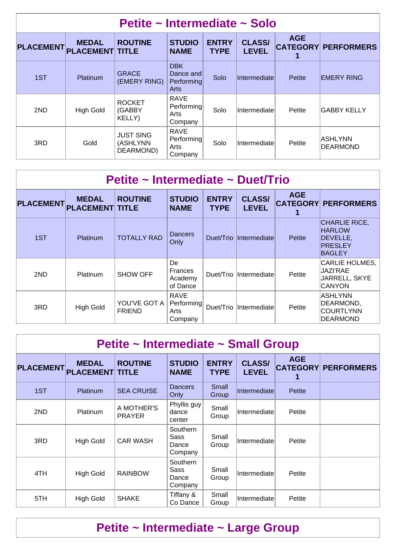| Petite ~ Intermediate ~ Solo |                                        |                                           |                                                      |                             |                               |            |                            |  |  |  |
|------------------------------|----------------------------------------|-------------------------------------------|------------------------------------------------------|-----------------------------|-------------------------------|------------|----------------------------|--|--|--|
| <b>PLACEMENT</b>             | <b>MEDAL</b><br><b>PLACEMENT TITLE</b> | <b>ROUTINE</b>                            | <b>STUDIO</b><br><b>NAME</b>                         | <b>ENTRY</b><br><b>TYPE</b> | <b>CLASS/</b><br><b>LEVEL</b> | <b>AGE</b> | <b>CATEGORY PERFORMERS</b> |  |  |  |
| 1ST                          | Platinum                               | <b>GRACE</b><br>(EMERY RING)              | <b>DBK</b><br>Dance and<br>Performing<br><b>Arts</b> | Solo                        | <b>Intermediate</b>           | Petite     | <b>EMERY RING</b>          |  |  |  |
| 2ND                          | <b>High Gold</b>                       | <b>ROCKET</b><br>(GABBY<br>KELLY)         | <b>RAVE</b><br>Performing<br>Arts<br>Company         | Solo                        | Intermediate                  | Petite     | <b>GABBY KELLY</b>         |  |  |  |
| 3RD                          | Gold                                   | <b>JUST SING</b><br>(ASHLYNN<br>DEARMOND) | <b>RAVE</b><br>Performing<br>Arts<br>Company         | Solo                        | Intermediate                  | Petite     | IASHLYNN<br>DEARMOND       |  |  |  |

| Petite ~ Intermediate ~ Duet/Trio |                                        |                               |                                              |                             |                               |               |                                                                                      |  |  |  |
|-----------------------------------|----------------------------------------|-------------------------------|----------------------------------------------|-----------------------------|-------------------------------|---------------|--------------------------------------------------------------------------------------|--|--|--|
| <b>PLACEMENT</b>                  | <b>MEDAL</b><br><b>PLACEMENT TITLE</b> | <b>ROUTINE</b>                | <b>STUDIO</b><br><b>NAME</b>                 | <b>ENTRY</b><br><b>TYPE</b> | <b>CLASS/</b><br><b>LEVEL</b> | <b>AGE</b>    | <b>CATEGORY PERFORMERS</b>                                                           |  |  |  |
| 1ST                               | Platinum                               | <b>TOTALLY RAD</b>            | Dancers<br>Only                              |                             | Duet/Trio Intermediate        | <b>Petite</b> | <b>CHARLIE RICE,</b><br><b>HARLOW</b><br>DEVELLE,<br><b>PRESLEY</b><br><b>BAGLEY</b> |  |  |  |
| 2ND                               | Platinum                               | <b>SHOW OFF</b>               | De<br>Frances<br>Academy<br>of Dance         | Duet/Trio                   | <b>Intermediate</b>           | Petite        | CARLIE HOLMES,<br><b>JAZI'RAE</b><br>JARRELL, SKYE<br><b>CANYON</b>                  |  |  |  |
| 3RD                               | <b>High Gold</b>                       | YOU'VE GOT A<br><b>FRIEND</b> | <b>RAVE</b><br>Performing<br>Arts<br>Company |                             | Duet/Trio Intermediate        | Petite        | ASHLYNN<br>DEARMOND,<br> COURTLYNN<br><b>IDEARMOND</b>                               |  |  |  |

| Petite ~ Intermediate ~ Small Group |                                        |                             |                                             |                             |                               |            |                            |  |  |  |  |
|-------------------------------------|----------------------------------------|-----------------------------|---------------------------------------------|-----------------------------|-------------------------------|------------|----------------------------|--|--|--|--|
| <b>PLACEMENT</b>                    | <b>MEDAL</b><br><b>PLACEMENT TITLE</b> | <b>ROUTINE</b>              | <b>STUDIO</b><br><b>NAME</b>                | <b>ENTRY</b><br><b>TYPE</b> | <b>CLASS/</b><br><b>LEVEL</b> | <b>AGE</b> | <b>CATEGORY PERFORMERS</b> |  |  |  |  |
| 1ST                                 | Platinum                               | <b>SEA CRUISE</b>           | <b>Dancers</b><br>Only                      | Small<br>Group              | Intermediate                  | Petite     |                            |  |  |  |  |
| 2ND                                 | Platinum                               | A MOTHER'S<br><b>PRAYER</b> | Phyllis guy<br>dance<br>center              | Small<br>Group              | Intermediate                  | Petite     |                            |  |  |  |  |
| 3RD                                 | <b>High Gold</b>                       | <b>CAR WASH</b>             | <b>Southern</b><br>Sass<br>Dance<br>Company | Small<br>Group              | Intermediate                  | Petite     |                            |  |  |  |  |
| 4TH                                 | <b>High Gold</b>                       | <b>RAINBOW</b>              | <b>Southern</b><br>Sass<br>Dance<br>Company | Small<br>Group              | Intermediate                  | Petite     |                            |  |  |  |  |
| 5TH                                 | <b>High Gold</b>                       | <b>SHAKE</b>                | Tiffany &<br>Co Dance                       | Small<br>Group              | Intermediate                  | Petite     |                            |  |  |  |  |

# **Petite ~ Intermediate ~ Large Group**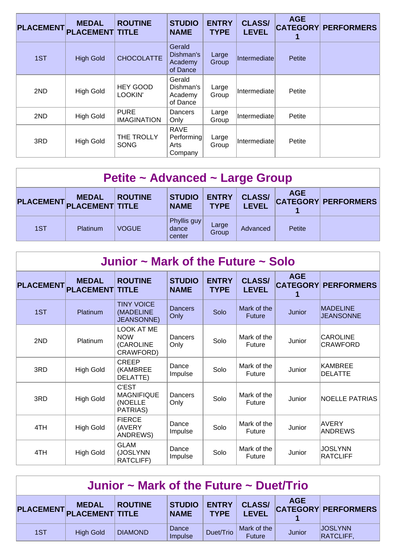| <b>PLACEMENT</b> | <b>MEDAL</b><br><b>PLACEMENT TITLE</b> | <b>ROUTINE</b>                    | <b>STUDIO</b><br><b>NAME</b>                 | <b>ENTRY</b><br><b>TYPE</b> | <b>CLASS/</b><br><b>LEVEL</b> | <b>AGE</b> | <b>CATEGORY PERFORMERS</b> |
|------------------|----------------------------------------|-----------------------------------|----------------------------------------------|-----------------------------|-------------------------------|------------|----------------------------|
| 1ST              | <b>High Gold</b>                       | <b>CHOCOLATTE</b>                 | Gerald<br>Dishman's<br>Academy<br>of Dance   | Large<br>Group              | Intermediate                  | Petite     |                            |
| 2ND              | <b>High Gold</b>                       | <b>HEY GOOD</b><br>LOOKIN'        | Gerald<br>Dishman's<br>Academy<br>of Dance   | Large<br>Group              | Intermediate                  | Petite     |                            |
| 2ND              | <b>High Gold</b>                       | <b>PURE</b><br><b>IMAGINATION</b> | Dancers<br>Only                              | Large<br>Group              | Intermediate                  | Petite     |                            |
| 3RD              | <b>High Gold</b>                       | THE TROLLY<br><b>SONG</b>         | <b>RAVE</b><br>Performing<br>Arts<br>Company | Large<br>Group              | Intermediate                  | Petite     |                            |

| Petite ~ Advanced ~ Large Group |              |                |                                |                             |                               |            |                            |  |  |  |
|---------------------------------|--------------|----------------|--------------------------------|-----------------------------|-------------------------------|------------|----------------------------|--|--|--|
| PLACEMENT PLACEMENT TITLE       | <b>MEDAL</b> | <b>ROUTINE</b> | <b>STUDIO</b><br><b>NAME</b>   | <b>ENTRY</b><br><b>TYPE</b> | <b>CLASS/</b><br><b>LEVEL</b> | <b>AGE</b> | <b>CATEGORY PERFORMERS</b> |  |  |  |
| 1ST                             | Platinum     | <b>VOGUE</b>   | Phyllis guy<br>dance<br>center | Large<br>Group              | Advanced                      | Petite     |                            |  |  |  |

| Junior $\sim$ Mark of the Future $\sim$ Solo |                                  |                                                           |                              |                             |                               |                               |                                     |  |  |  |
|----------------------------------------------|----------------------------------|-----------------------------------------------------------|------------------------------|-----------------------------|-------------------------------|-------------------------------|-------------------------------------|--|--|--|
| <b>PLACEMENT</b>                             | <b>MEDAL</b><br><b>PLACEMENT</b> | <b>ROUTINE</b><br><b>TITLE</b>                            | <b>STUDIO</b><br><b>NAME</b> | <b>ENTRY</b><br><b>TYPE</b> | <b>CLASS/</b><br><b>LEVEL</b> | <b>AGE</b><br><b>CATEGORY</b> | <b>PERFORMERS</b>                   |  |  |  |
| 1ST                                          | Platinum                         | <b>TINY VOICE</b><br>(MADELINE<br><b>JEANSONNE)</b>       | <b>Dancers</b><br>Only       | Solo                        | Mark of the<br><b>Future</b>  | Junior                        | <b>MADELINE</b><br><b>JEANSONNE</b> |  |  |  |
| 2ND                                          | Platinum                         | <b>LOOK AT ME</b><br><b>NOW</b><br>(CAROLINE<br>CRAWFORD) | Dancers<br>Only              | Solo                        | Mark of the<br><b>Future</b>  | Junior                        | <b>CAROLINE</b><br><b>CRAWFORD</b>  |  |  |  |
| 3RD                                          | <b>High Gold</b>                 | CREEP<br>(KAMBREE<br>DELATTE)                             | Dance<br>Impulse             | Solo                        | Mark of the<br>Future         | Junior                        | KAMBREE<br><b>DELATTE</b>           |  |  |  |
| 3RD                                          | <b>High Gold</b>                 | <b>C'EST</b><br><b>MAGNIFIQUE</b><br>(NOELLE<br>PATRIAS)  | Dancers<br>Only              | Solo                        | Mark of the<br><b>Future</b>  | Junior                        | <b>NOELLE PATRIAS</b>               |  |  |  |
| 4TH                                          | <b>High Gold</b>                 | <b>FIERCE</b><br>(AVERY<br><b>ANDREWS)</b>                | Dance<br>Impulse             | Solo                        | Mark of the<br>Future         | Junior                        | <b>AVERY</b><br><b>ANDREWS</b>      |  |  |  |
| 4TH                                          | <b>High Gold</b>                 | <b>GLAM</b><br>(JOSLYNN<br>RATCLIFF)                      | Dance<br>Impulse             | Solo                        | Mark of the<br>Future         | Junior                        | <b>JOSLYNN</b><br><b>RATCLIFF</b>   |  |  |  |

| Junior $\sim$ Mark of the Future $\sim$ Duet/Trio |                                           |                |                              |                             |                               |            |                                    |  |  |
|---------------------------------------------------|-------------------------------------------|----------------|------------------------------|-----------------------------|-------------------------------|------------|------------------------------------|--|--|
|                                                   | <b>MEDAL</b><br>PLACEMENT PLACEMENT TITLE | <b>ROUTINE</b> | <b>STUDIO</b><br><b>NAME</b> | <b>ENTRY</b><br><b>TYPE</b> | <b>CLASS/</b><br><b>LEVEL</b> | <b>AGE</b> | <b>CATEGORY PERFORMERS</b>         |  |  |
| 1ST                                               | <b>High Gold</b>                          | <b>DIAMOND</b> | Dance<br>Impulse             | Duet/Trio                   | Mark of the<br><b>Future</b>  | Junior     | <b>JOSLYNN</b><br><b>RATCLIFF,</b> |  |  |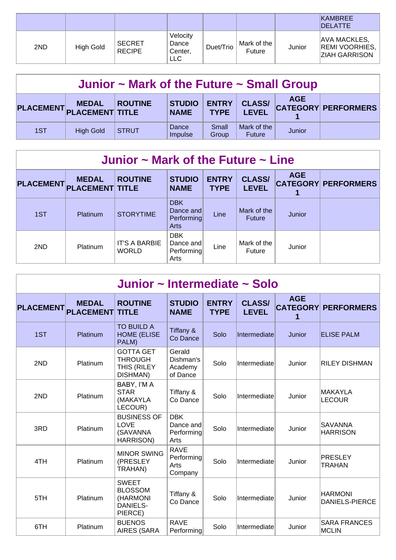|     |           |                                |                                            |           |                       |        | <b>KAMBREE</b><br><b>IDELATTE</b>                                    |
|-----|-----------|--------------------------------|--------------------------------------------|-----------|-----------------------|--------|----------------------------------------------------------------------|
| 2ND | High Gold | <b>SECRET</b><br><b>RECIPE</b> | Velocity<br>Dance<br>Center,<br><b>LLC</b> | Duet/Trio | Mark of the<br>Future | Junior | <b>AVA MACKLES,</b><br><b>REMI VOORHIES,</b><br><b>ZIAH GARRISON</b> |

| Junior $\sim$ Mark of the Future $\sim$ Small Group |                                           |                |                              |                             |                               |            |                            |  |  |
|-----------------------------------------------------|-------------------------------------------|----------------|------------------------------|-----------------------------|-------------------------------|------------|----------------------------|--|--|
|                                                     | <b>MEDAL</b><br>PLACEMENT PLACEMENT TITLE | <b>ROUTINE</b> | <b>STUDIO</b><br><b>NAME</b> | <b>ENTRY</b><br><b>TYPE</b> | <b>CLASS/</b><br><b>LEVEL</b> | <b>AGE</b> | <b>CATEGORY PERFORMERS</b> |  |  |
| 1ST                                                 | <b>High Gold</b>                          | <b>STRUT</b>   | Dance<br>Impulse             | Small<br>Group              | Mark of the<br><b>Future</b>  | Junior     |                            |  |  |

#### **Junior ~ Mark of the Future ~ Line**

| <b>PLACEMENT</b> | <b>MEDAL</b><br><b>PLACEMENT TITLE</b> | <b>ROUTINE</b>                       | <b>STUDIO</b><br><b>NAME</b>                  | <b>ENTRY</b><br><b>TYPE</b> | <b>CLASS/</b><br><b>LEVEL</b> | <b>AGE</b> | <b>CATEGORY PERFORMERS</b> |
|------------------|----------------------------------------|--------------------------------------|-----------------------------------------------|-----------------------------|-------------------------------|------------|----------------------------|
| 1ST              | <b>Platinum</b>                        | <b>STORYTIME</b>                     | <b>DBK</b><br>Dance and<br>Performing<br>Arts | Line                        | Mark of the<br><b>Future</b>  | Junior     |                            |
| 2ND              | Platinum                               | <b>IT'S A BARBIE</b><br><b>WORLD</b> | <b>DBK</b><br>Dance and<br>Performing<br>Arts | Line                        | Mark of the<br><b>Future</b>  | Junior     |                            |

| Junior ~ Intermediate ~ Solo |                                  |                                                                          |                                               |                             |                               |                                    |                                         |  |  |  |
|------------------------------|----------------------------------|--------------------------------------------------------------------------|-----------------------------------------------|-----------------------------|-------------------------------|------------------------------------|-----------------------------------------|--|--|--|
| <b>PLACEMENT</b>             | <b>MEDAL</b><br><b>PLACEMENT</b> | <b>ROUTINE</b><br><b>TITLE</b>                                           | <b>STUDIO</b><br><b>NAME</b>                  | <b>ENTRY</b><br><b>TYPE</b> | <b>CLASS/</b><br><b>LEVEL</b> | <b>AGE</b><br><b>CATEGORY</b><br>1 | <b>PERFORMERS</b>                       |  |  |  |
| 1ST                          | Platinum                         | <b>TO BUILD A</b><br><b>HOME (ELISE</b><br>PALM)                         | Tiffany &<br>Co Dance                         | Solo                        | Intermediate                  | <b>Junior</b>                      | <b>ELISE PALM</b>                       |  |  |  |
| 2ND                          | Platinum                         | <b>GOTTA GET</b><br><b>THROUGH</b><br>THIS (RILEY<br>DISHMAN)            | Gerald<br>Dishman's<br>Academy<br>of Dance    | Solo                        | Intermediate                  | Junior                             | <b>RILEY DISHMAN</b>                    |  |  |  |
| 2ND                          | Platinum                         | BABY, I'M A<br><b>STAR</b><br>(MAKAYLA<br>LECOUR)                        | Tiffany &<br>Co Dance                         | Solo                        | Intermediate                  | Junior                             | MAKAYLA<br><b>LECOUR</b>                |  |  |  |
| 3RD                          | Platinum                         | <b>BUSINESS OF</b><br>LOVE<br>(SAVANNA<br>HARRISON)                      | <b>DBK</b><br>Dance and<br>Performing<br>Arts | Solo                        | Intermediate                  | Junior                             | SAVANNA<br><b>HARRISON</b>              |  |  |  |
| 4TH                          | Platinum                         | <b>MINOR SWING</b><br>(PRESLEY<br>TRAHAN)                                | <b>RAVE</b><br>Performing<br>Arts<br>Company  | Solo                        | Intermediate                  | Junior                             | PRESLEY<br><b>TRAHAN</b>                |  |  |  |
| 5TH                          | Platinum                         | <b>SWEET</b><br><b>BLOSSOM</b><br>(HARMONI<br><b>DANIELS-</b><br>PIERCE) | Tiffany &<br>Co Dance                         | Solo                        | Intermediate                  | Junior                             | <b>HARMONI</b><br><b>DANIELS-PIERCE</b> |  |  |  |
| 6TH                          | Platinum                         | <b>BUENOS</b><br><b>AIRES (SARA</b>                                      | <b>RAVE</b><br>Performing                     | Solo                        | Intermediate                  | Junior                             | <b>SARA FRANCES</b><br><b>MCLIN</b>     |  |  |  |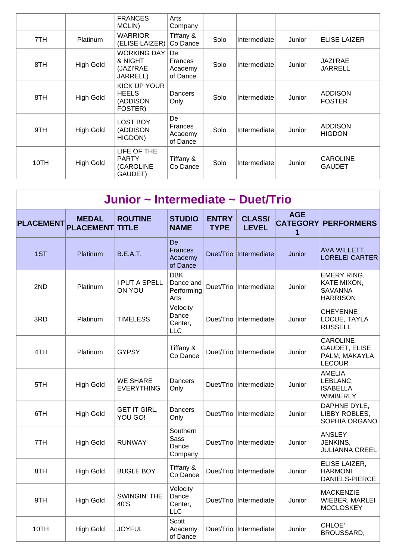|      |                  | <b>FRANCES</b><br>MCLIN)                               | Arts<br>Company                       |      |               |        |                                  |
|------|------------------|--------------------------------------------------------|---------------------------------------|------|---------------|--------|----------------------------------|
| 7TH  | <b>Platinum</b>  | <b>WARRIOR</b><br>(ELISE LAIZER)                       | Tiffany &<br>Co Dance                 | Solo | Intermediate  | Junior | <b>ELISE LAIZER</b>              |
| 8TH  | <b>High Gold</b> | <b>WORKING DAY</b><br>& NIGHT<br>(JAZI'RAE<br>JARRELL) | De.<br>Frances<br>Academy<br>of Dance | Solo | Intermediatel | Junior | <b>JAZI'RAE</b><br>JARRELL       |
| 8TH  | <b>High Gold</b> | KICK UP YOUR<br><b>HEELS</b><br>(ADDISON<br>FOSTER)    | Dancers<br>Only                       | Solo | Intermediate  | Junior | <b>ADDISON</b><br><b>FOSTER</b>  |
| 9TH  | <b>High Gold</b> | <b>LOST BOY</b><br>(ADDISON<br>HIGDON)                 | De<br>Frances<br>Academy<br>of Dance  | Solo | Intermediatel | Junior | <b>ADDISON</b><br><b>HIGDON</b>  |
| 10TH | <b>High Gold</b> | LIFE OF THE<br><b>PARTY</b><br>(CAROLINE<br>GAUDET)    | Tiffany &<br>Co Dance                 | Solo | Intermediate  | Junior | <b>CAROLINE</b><br><b>GAUDET</b> |

| Junior ~ Intermediate ~ Duet/Trio |                                  |                                      |                                               |                             |                               |            |                                                                        |  |  |  |
|-----------------------------------|----------------------------------|--------------------------------------|-----------------------------------------------|-----------------------------|-------------------------------|------------|------------------------------------------------------------------------|--|--|--|
| <b>PLACEMENT</b>                  | <b>MEDAL</b><br><b>PLACEMENT</b> | <b>ROUTINE</b><br><b>TITLE</b>       | <b>STUDIO</b><br><b>NAME</b>                  | <b>ENTRY</b><br><b>TYPE</b> | <b>CLASS/</b><br><b>LEVEL</b> | <b>AGE</b> | <b>CATEGORY PERFORMERS</b>                                             |  |  |  |
| 1ST                               | Platinum                         | <b>B.E.A.T.</b>                      | De<br><b>Frances</b><br>Academy<br>of Dance   |                             | Duet/Trio  Intermediate       | Junior     | <b>AVA WILLETT,</b><br><b>LORELEI CARTER</b>                           |  |  |  |
| 2ND                               | Platinum                         | I PUT A SPELL<br><b>ON YOU</b>       | <b>DBK</b><br>Dance and<br>Performing<br>Arts |                             | Duet/Trio Intermediate        | Junior     | <b>EMERY RING,</b><br>KATE MIXON,<br><b>SAVANNA</b><br><b>HARRISON</b> |  |  |  |
| 3RD                               | Platinum                         | <b>TIMELESS</b>                      | Velocity<br>Dance<br>Center,<br><b>LLC</b>    |                             | Duet/Trio  Intermediate       | Junior     | <b>CHEYENNE</b><br>LOCUE, TAYLA<br><b>RUSSELL</b>                      |  |  |  |
| 4TH                               | Platinum                         | <b>GYPSY</b>                         | Tiffany &<br>Co Dance                         |                             | Duet/Trio  Intermediate       | Junior     | <b>CAROLINE</b><br><b>GAUDET, ELISE</b><br>PALM, MAKAYLA<br>LECOUR     |  |  |  |
| 5TH                               | <b>High Gold</b>                 | <b>WE SHARE</b><br><b>EVERYTHING</b> | Dancers<br>Only                               |                             | Duet/Trio  Intermediate       | Junior     | AMELIA<br>LEBLANC,<br><b>ISABELLA</b><br><b>WIMBERLY</b>               |  |  |  |
| 6TH                               | <b>High Gold</b>                 | <b>GET IT GIRL,</b><br>YOU GO!       | Dancers<br>Only                               |                             | Duet/Trio Intermediate        | Junior     | DAPHNE DYLE,<br>LIBBY ROBLES,<br>SOPHIA ORGANO                         |  |  |  |
| 7TH                               | <b>High Gold</b>                 | <b>RUNWAY</b>                        | Southern<br><b>Sass</b><br>Dance<br>Company   |                             | Duet/Trio  Intermediate       | Junior     | ANSLEY<br>JENKINS,<br><b>JULIANNA CREEL</b>                            |  |  |  |
| 8TH                               | <b>High Gold</b>                 | <b>BUGLE BOY</b>                     | Tiffany &<br>Co Dance                         |                             | Duet/Trio Intermediate        | Junior     | ELISE LAIZER,<br><b>HARMONI</b><br>DANIELS-PIERCE                      |  |  |  |
| 9TH                               | <b>High Gold</b>                 | <b>SWINGIN' THE</b><br>40'S          | Velocity<br>Dance<br>Center,<br><b>LLC</b>    |                             | Duet/Trio  Intermediate       | Junior     | MACKENZIE<br>WIEBER, MARLEI<br>MCCLOSKEY                               |  |  |  |
| 10TH                              | <b>High Gold</b>                 | <b>JOYFUL</b>                        | Scott<br>Academy<br>of Dance                  |                             | Duet/Trio  Intermediate       | Junior     | CHLOE'<br>BROUSSARD,                                                   |  |  |  |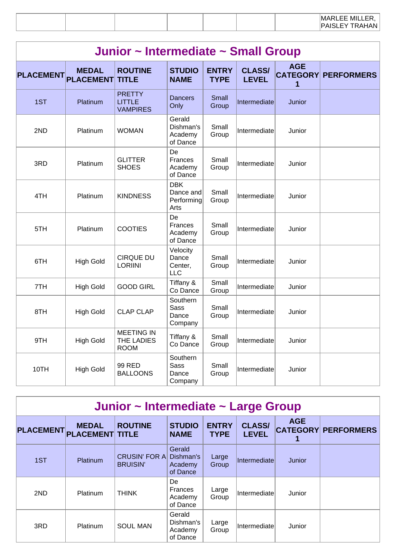|  | Junior ~ Intermediate ~ Small Group |  |  |
|--|-------------------------------------|--|--|
|--|-------------------------------------|--|--|

| <b>PLACEMENT</b> | <b>MEDAL</b><br><b>PLACEMENT</b> | <b>ROUTINE</b><br><b>TITLE</b>                    | <b>STUDIO</b><br><b>NAME</b>                  | <b>ENTRY</b><br><b>TYPE</b> | <b>CLASS/</b><br><b>LEVEL</b> | <b>AGE</b><br><b>CATEGORY</b><br>1 | <b>PERFORMERS</b> |
|------------------|----------------------------------|---------------------------------------------------|-----------------------------------------------|-----------------------------|-------------------------------|------------------------------------|-------------------|
| 1ST              | Platinum                         | <b>PRETTY</b><br><b>LITTLE</b><br><b>VAMPIRES</b> | <b>Dancers</b><br>Only                        | Small<br>Group              | Intermediate                  | Junior                             |                   |
| 2ND              | Platinum                         | <b>WOMAN</b>                                      | Gerald<br>Dishman's<br>Academy<br>of Dance    | Small<br>Group              | Intermediate                  | Junior                             |                   |
| 3RD              | Platinum                         | <b>GLITTER</b><br><b>SHOES</b>                    | De<br>Frances<br>Academy<br>of Dance          | Small<br>Group              | Intermediate                  | Junior                             |                   |
| 4TH              | Platinum                         | <b>KINDNESS</b>                                   | <b>DBK</b><br>Dance and<br>Performing<br>Arts | Small<br>Group              | Intermediate                  | Junior                             |                   |
| 5TH              | Platinum                         | <b>COOTIES</b>                                    | De<br>Frances<br>Academy<br>of Dance          | Small<br>Group              | Intermediate                  | Junior                             |                   |
| 6TH              | <b>High Gold</b>                 | <b>CIRQUE DU</b><br><b>LORIINI</b>                | Velocity<br>Dance<br>Center,<br><b>LLC</b>    | Small<br>Group              | Intermediate                  | Junior                             |                   |
| 7TH              | <b>High Gold</b>                 | <b>GOOD GIRL</b>                                  | Tiffany &<br>Co Dance                         | Small<br>Group              | Intermediate                  | Junior                             |                   |
| 8TH              | <b>High Gold</b>                 | <b>CLAP CLAP</b>                                  | Southern<br><b>Sass</b><br>Dance<br>Company   | Small<br>Group              | Intermediate                  | Junior                             |                   |
| 9TH              | <b>High Gold</b>                 | <b>MEETING IN</b><br>THE LADIES<br><b>ROOM</b>    | Tiffany &<br>Co Dance                         | Small<br>Group              | Intermediate                  | Junior                             |                   |
| 10TH             | <b>High Gold</b>                 | 99 RED<br><b>BALLOONS</b>                         | Southern<br><b>Sass</b><br>Dance<br>Company   | Small<br>Group              | Intermediate                  | Junior                             |                   |

# **Junior ~ Intermediate ~ Large Group**

| <b>PLACEMENT</b> | <b>MEDAL</b><br><b>PLACEMENT TITLE</b> | <b>ROUTINE</b>                          | <b>STUDIO</b><br><b>NAME</b>               | <b>ENTRY</b><br><b>TYPE</b> | <b>CLASS/</b><br><b>LEVEL</b> | <b>AGE</b> | <b>CATEGORY PERFORMERS</b> |
|------------------|----------------------------------------|-----------------------------------------|--------------------------------------------|-----------------------------|-------------------------------|------------|----------------------------|
| 1ST              | Platinum                               | <b>CRUSIN' FOR A</b><br><b>BRUISIN'</b> | Gerald<br>Dishman's<br>Academy<br>of Dance | Large<br>Group              | <b>Intermediate</b>           | Junior     |                            |
| 2ND              | <b>Platinum</b>                        | <b>THINK</b>                            | De<br>Frances<br>Academy<br>of Dance       | Large<br>Group              | Intermediate                  | Junior     |                            |
| 3RD              | Platinum                               | <b>SOUL MAN</b>                         | Gerald<br>Dishman's<br>Academy<br>of Dance | Large<br>Group              | Intermediate                  | Junior     |                            |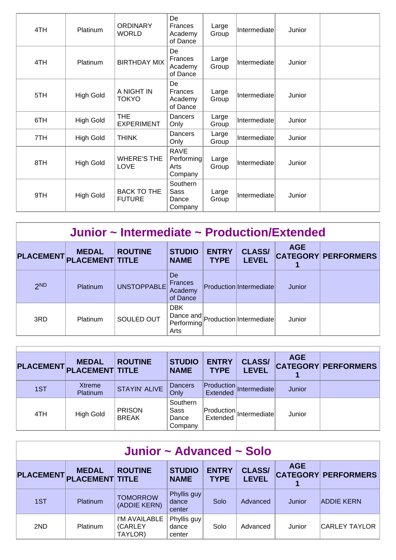| 4TH | Platinum         | <b>ORDINARY</b><br><b>WORLD</b>     | De<br><b>Frances</b><br>Academy<br>of Dance  | Large<br>Group | Intermediate | Junior |  |
|-----|------------------|-------------------------------------|----------------------------------------------|----------------|--------------|--------|--|
| 4TH | Platinum         | <b>BIRTHDAY MIX</b>                 | De<br>Frances<br>Academy<br>of Dance         | Large<br>Group | Intermediate | Junior |  |
| 5TH | <b>High Gold</b> | A NIGHT IN<br><b>TOKYO</b>          | De<br><b>Frances</b><br>Academy<br>of Dance  | Large<br>Group | Intermediate | Junior |  |
| 6TH | <b>High Gold</b> | <b>THE</b><br><b>EXPERIMENT</b>     | Dancers<br>Only                              | Large<br>Group | Intermediate | Junior |  |
| 7TH | <b>High Gold</b> | <b>THINK</b>                        | Dancers<br>Only                              | Large<br>Group | Intermediate | Junior |  |
| 8TH | <b>High Gold</b> | <b>WHERE'S THE</b><br><b>LOVE</b>   | <b>RAVE</b><br>Performing<br>Arts<br>Company | Large<br>Group | Intermediate | Junior |  |
| 9TH | <b>High Gold</b> | <b>BACK TO THE</b><br><b>FUTURE</b> | Southern<br>Sass<br>Dance<br>Company         | Large<br>Group | Intermediate | Junior |  |

#### **Junior ~ Intermediate ~ Production/Extended**

| <b>PLACEMENT</b> | <b>MEDAL</b><br><b>PLACEMENT TITLE</b> | <b>ROUTINE</b> | <b>STUDIO</b><br><b>NAME</b>                | <b>ENTRY</b><br><b>TYPE</b> | <b>CLASS/</b><br><b>LEVEL</b>     | <b>AGE</b> | <b>CATEGORY PERFORMERS</b> |
|------------------|----------------------------------------|----------------|---------------------------------------------|-----------------------------|-----------------------------------|------------|----------------------------|
| 2 <sub>ND</sub>  | Platinum                               | UNSTOPPABLE    | De<br><b>Frances</b><br>Academy<br>of Dance |                             | Production Intermediate           | Junior     |                            |
| 3RD              | Platinum                               | SOULED OUT     | <b>DBK</b><br>Performing<br>Arts            |                             | Dance and Production Intermediate | Junior     |                            |

| <b>PLACEMENT</b> | <b>MEDAL</b><br><b>PLACEMENT TITLE</b> | <b>ROUTINE</b>                | <b>STUDIO</b><br><b>NAME</b>         | <b>ENTRY</b><br><b>TYPE</b>    | <b>CLASS/</b><br><b>LEVEL</b>   | <b>AGE</b> | <b>CATEGORY PERFORMERS</b> |
|------------------|----------------------------------------|-------------------------------|--------------------------------------|--------------------------------|---------------------------------|------------|----------------------------|
| 1ST              | Xtreme<br>Platinum                     | <b>STAYIN' ALIVE</b>          | <b>Dancers</b><br>Only               | $ $ Production $ $<br>Extended | Intermediate                    | Junior     |                            |
| 4TH              | <b>High Gold</b>                       | <b>PRISON</b><br><b>BREAK</b> | Southern<br>Sass<br>Dance<br>Company | Extended                       | $ $ Production $ $ Intermediate | Junior     |                            |

| Junior $\sim$ Advanced $\sim$ Solo |                                        |                                     |                                |                             |                               |            |                            |  |  |  |  |
|------------------------------------|----------------------------------------|-------------------------------------|--------------------------------|-----------------------------|-------------------------------|------------|----------------------------|--|--|--|--|
| <b>PLACEMENT</b>                   | <b>MEDAL</b><br><b>PLACEMENT TITLE</b> | <b>ROUTINE</b>                      | <b>STUDIO</b><br><b>NAME</b>   | <b>ENTRY</b><br><b>TYPE</b> | <b>CLASS/</b><br><b>LEVEL</b> | <b>AGE</b> | <b>CATEGORY PERFORMERS</b> |  |  |  |  |
| 1ST                                | Platinum                               | <b>TOMORROW</b><br>(ADDIE KERN)     | Phyllis guy<br>dance<br>center | Solo                        | Advanced                      | Junior     | <b>ADDIE KERN</b>          |  |  |  |  |
| 2ND                                | <b>Platinum</b>                        | I'M AVAILABLE<br>(CARLEY<br>TAYLOR) | Phyllis guy<br>dance<br>center | Solo                        | Advanced                      | Junior     | CARLEY TAYLOR              |  |  |  |  |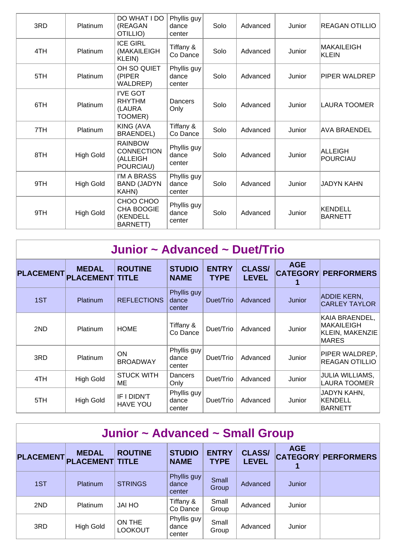| 3RD | Platinum         | DO WHAT I DO<br>(REAGAN<br>OTILLIO)                           | Phyllis guy<br>dance<br>center | Solo | Advanced | Junior | <b>REAGAN OTILLIO</b>             |
|-----|------------------|---------------------------------------------------------------|--------------------------------|------|----------|--------|-----------------------------------|
| 4TH | Platinum         | <b>ICE GIRL</b><br>(MAKAILEIGH<br>KLEIN)                      | Tiffany &<br>Co Dance          | Solo | Advanced | Junior | MAKAILEIGH<br><b>KLEIN</b>        |
| 5TH | Platinum         | OH SO QUIET<br>(PIPER)<br>WALDREP)                            | Phyllis guy<br>dance<br>center | Solo | Advanced | Junior | PIPER WALDREP                     |
| 6TH | Platinum         | I'VE GOT<br><b>RHYTHM</b><br>(LAURA<br>TOOMER)                | Dancers<br>Only                | Solo | Advanced | Junior | LAURA TOOMER                      |
| 7TH | Platinum         | <b>KING (AVA</b><br><b>BRAENDEL)</b>                          | Tiffany &<br>Co Dance          | Solo | Advanced | Junior | <b>AVA BRAENDEL</b>               |
| 8TH | <b>High Gold</b> | <b>RAINBOW</b><br><b>CONNECTION</b><br>(ALLEIGH<br>POURCIAU)  | Phyllis guy<br>dance<br>center | Solo | Advanced | Junior | <b>ALLEIGH</b><br><b>POURCIAU</b> |
| 9TH | <b>High Gold</b> | I'M A BRASS<br><b>BAND (JADYN</b><br>KAHN)                    | Phyllis guy<br>dance<br>center | Solo | Advanced | Junior | <b>JADYN KAHN</b>                 |
| 9TH | <b>High Gold</b> | CHOO CHOO<br><b>CHA BOOGIE</b><br>(KENDELL<br><b>BARNETT)</b> | Phyllis guy<br>dance<br>center | Solo | Advanced | Junior | KENDELL<br><b>BARNETT</b>         |

| Junior ~ Advanced ~ Duet/Trio |                                        |                                |                                |                             |                               |                               |                                                                               |  |  |  |  |
|-------------------------------|----------------------------------------|--------------------------------|--------------------------------|-----------------------------|-------------------------------|-------------------------------|-------------------------------------------------------------------------------|--|--|--|--|
| <b>PLACEMENT</b>              | <b>MEDAL</b><br><b>PLACEMENT TITLE</b> | <b>ROUTINE</b>                 | <b>STUDIO</b><br><b>NAME</b>   | <b>ENTRY</b><br><b>TYPE</b> | <b>CLASS/</b><br><b>LEVEL</b> | <b>AGE</b><br><b>CATEGORY</b> | <b>PERFORMERS</b>                                                             |  |  |  |  |
| 1ST                           | <b>Platinum</b>                        | <b>REFLECTIONS</b>             | Phyllis guy<br>dance<br>center | Duet/Trio                   | Advanced                      | Junior                        | <b>ADDIE KERN,</b><br><b>CARLEY TAYLOR</b>                                    |  |  |  |  |
| 2ND                           | <b>Platinum</b>                        | <b>HOME</b>                    | Tiffany &<br>Co Dance          | Duet/Trio                   | Advanced                      | Junior                        | KAIA BRAENDEL,<br><b>MAKAILEIGH</b><br><b>KLEIN, MAKENZIE</b><br><b>MARES</b> |  |  |  |  |
| 3RD                           | <b>Platinum</b>                        | <b>ON</b><br><b>BROADWAY</b>   | Phyllis guy<br>dance<br>center | Duet/Trio                   | Advanced                      | Junior                        | PIPER WALDREP,<br><b>REAGAN OTILLIO</b>                                       |  |  |  |  |
| 4TH                           | <b>High Gold</b>                       | <b>STUCK WITH</b><br>MЕ        | Dancers<br>Only                | Duet/Trio                   | Advanced                      | Junior                        | JULIA WILLIAMS,<br><b>LAURA TOOMER</b>                                        |  |  |  |  |
| 5TH                           | <b>High Gold</b>                       | IF I DIDN'T<br><b>HAVE YOU</b> | Phyllis guy<br>dance<br>center | Duet/Trio                   | Advanced                      | Junior                        | JADYN KAHN,<br><b>KENDELL</b><br><b>BARNETT</b>                               |  |  |  |  |

| Junior ~ Advanced ~ Small Group |                                        |                          |                                |                             |                               |            |                            |  |  |  |
|---------------------------------|----------------------------------------|--------------------------|--------------------------------|-----------------------------|-------------------------------|------------|----------------------------|--|--|--|
| <b>PLACEMENT</b>                | <b>MEDAL</b><br><b>PLACEMENT TITLE</b> | <b>ROUTINE</b>           | <b>STUDIO</b><br><b>NAME</b>   | <b>ENTRY</b><br><b>TYPE</b> | <b>CLASS/</b><br><b>LEVEL</b> | <b>AGE</b> | <b>CATEGORY PERFORMERS</b> |  |  |  |
| 1ST                             | Platinum                               | <b>STRINGS</b>           | Phyllis guy<br>dance<br>center | Small<br>Group              | Advanced                      | Junior     |                            |  |  |  |
| 2ND                             | Platinum                               | <b>JAI HO</b>            | Tiffany &<br>Co Dance          | Small<br>Group              | Advanced                      | Junior     |                            |  |  |  |
| 3RD                             | <b>High Gold</b>                       | ON THE<br><b>LOOKOUT</b> | Phyllis guy<br>dance<br>center | Small<br>Group              | Advanced                      | Junior     |                            |  |  |  |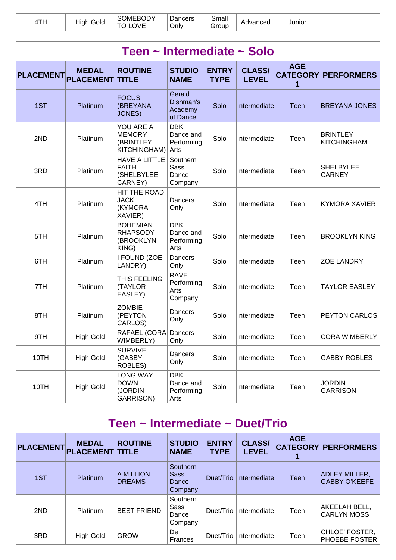| <u>ти.</u> | $\cdots$<br>Gold<br>High | <b>OMEBODY</b> | Jancers<br><b>Jnlv</b> | Small<br>Group | Advanced | Junior |  |
|------------|--------------------------|----------------|------------------------|----------------|----------|--------|--|
|------------|--------------------------|----------------|------------------------|----------------|----------|--------|--|

| Teen ~ Intermediate ~ Solo |                                  |                                                               |                                               |                             |                               |                                    |                                       |  |  |  |  |
|----------------------------|----------------------------------|---------------------------------------------------------------|-----------------------------------------------|-----------------------------|-------------------------------|------------------------------------|---------------------------------------|--|--|--|--|
| <b>PLACEMENT</b>           | <b>MEDAL</b><br><b>PLACEMENT</b> | <b>ROUTINE</b><br><b>TITLE</b>                                | <b>STUDIO</b><br><b>NAME</b>                  | <b>ENTRY</b><br><b>TYPE</b> | <b>CLASS/</b><br><b>LEVEL</b> | <b>AGE</b><br><b>CATEGORY</b><br>1 | <b>PERFORMERS</b>                     |  |  |  |  |
| 1ST                        | Platinum                         | <b>FOCUS</b><br>(BREYANA<br>JONES)                            | Gerald<br>Dishman's<br>Academy<br>of Dance    | Solo                        | Intermediate                  | <b>Teen</b>                        | <b>BREYANA JONES</b>                  |  |  |  |  |
| 2ND                        | Platinum                         | YOU ARE A<br><b>MEMORY</b><br>(BRINTLEY<br>KITCHINGHAM)       | <b>DBK</b><br>Dance and<br>Performing<br>Arts | Solo                        | Intermediate                  | Teen                               | <b>BRINTLEY</b><br><b>KITCHINGHAM</b> |  |  |  |  |
| 3RD                        | Platinum                         | <b>HAVE A LITTLE</b><br><b>FAITH</b><br>(SHELBYLEE<br>CARNEY) | Southern<br>Sass<br>Dance<br>Company          | Solo                        | Intermediate                  | Teen                               | <b>SHELBYLEE</b><br><b>CARNEY</b>     |  |  |  |  |
| 4TH                        | Platinum                         | <b>HIT THE ROAD</b><br><b>JACK</b><br>(KYMORA<br>XAVIER)      | Dancers<br>Only                               | Solo                        | Intermediate                  | Teen                               | <b>KYMORA XAVIER</b>                  |  |  |  |  |
| 5TH                        | Platinum                         | <b>BOHEMIAN</b><br><b>RHAPSODY</b><br>(BROOKLYN<br>KING)      | <b>DBK</b><br>Dance and<br>Performing<br>Arts | Solo                        | Intermediate                  | Teen                               | <b>BROOKLYN KING</b>                  |  |  |  |  |
| 6TH                        | Platinum                         | I FOUND (ZOE<br>LANDRY)                                       | Dancers<br>Only                               | Solo                        | Intermediate                  | Teen                               | <b>ZOE LANDRY</b>                     |  |  |  |  |
| 7TH                        | Platinum                         | THIS FEELING<br>(TAYLOR<br>EASLEY)                            | <b>RAVE</b><br>Performing<br>Arts<br>Company  | Solo                        | Intermediate                  | Teen                               | <b>TAYLOR EASLEY</b>                  |  |  |  |  |
| 8TH                        | Platinum                         | <b>ZOMBIE</b><br>(PEYTON<br>CARLOS)                           | Dancers<br>Only                               | Solo                        | Intermediate                  | Teen                               | <b>PEYTON CARLOS</b>                  |  |  |  |  |
| 9TH                        | <b>High Gold</b>                 | RAFAEL (CORA)<br>WIMBERLY)                                    | Dancers<br>Only                               | Solo                        | Intermediate                  | Teen                               | CORA WIMBERLY_                        |  |  |  |  |
| 10TH                       | <b>High Gold</b>                 | <b>SURVIVE</b><br>(GABBY<br>ROBLES)                           | Dancers<br>Only                               | Solo                        | Intermediate                  | Teen                               | <b>GABBY ROBLES</b>                   |  |  |  |  |
| 10TH                       | <b>High Gold</b>                 | <b>LONG WAY</b><br><b>DOWN</b><br>(JORDIN<br>GARRISON)        | <b>DBK</b><br>Dance and<br>Performing<br>Arts | Solo                        | Intermediate                  | Teen                               | <b>JORDIN</b><br><b>GARRISON</b>      |  |  |  |  |

| Teen ~ Intermediate ~ Duet/Trio |                                        |                            |                                             |                             |                               |            |                                              |  |  |  |
|---------------------------------|----------------------------------------|----------------------------|---------------------------------------------|-----------------------------|-------------------------------|------------|----------------------------------------------|--|--|--|
| <b>PLACEMENT</b>                | <b>MEDAL</b><br><b>PLACEMENT TITLE</b> | <b>ROUTINE</b>             | <b>STUDIO</b><br><b>NAME</b>                | <b>ENTRY</b><br><b>TYPE</b> | <b>CLASS/</b><br><b>LEVEL</b> | <b>AGE</b> | <b>CATEGORY PERFORMERS</b>                   |  |  |  |
| 1ST                             | Platinum                               | A MILLION<br><b>DREAMS</b> | Southern<br><b>Sass</b><br>Dance<br>Company |                             | Duet/Trio Intermediate        | Teen       | <b>ADLEY MILLER,</b><br><b>GABBY O'KEEFE</b> |  |  |  |
| 2ND                             | Platinum                               | <b>BEST FRIEND</b>         | Southern<br>Sass<br>Dance<br>Company        |                             | Duet/Trio Intermediate        | Teen       | <b>AKEELAH BELL,</b><br><b>CARLYN MOSS</b>   |  |  |  |
| 3RD                             | <b>High Gold</b>                       | <b>GROW</b>                | De<br>Frances                               |                             | Duet/Trio Intermediate        | Teen       | CHLOE' FOSTER,<br><b>PHOEBE FOSTER</b>       |  |  |  |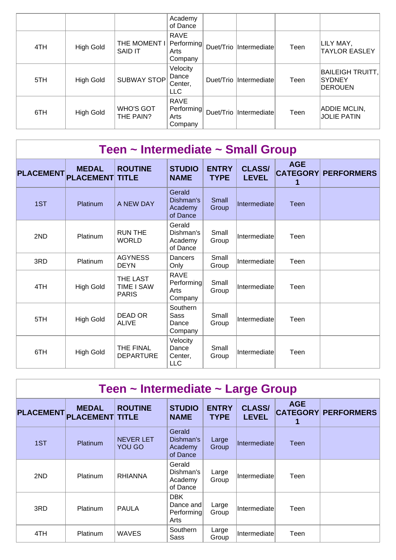|     |                  |                                | Academy<br>of Dance                          |                         |      |                                              |
|-----|------------------|--------------------------------|----------------------------------------------|-------------------------|------|----------------------------------------------|
| 4TH | <b>High Gold</b> | THE MOMENT I<br><b>SAID IT</b> | <b>RAVE</b><br>Performing<br>Arts<br>Company | Duet/Trio  Intermediate | Teen | LILY MAY,<br><b>TAYLOR EASLEY</b>            |
| 5TH | <b>High Gold</b> | <b>SUBWAY STOP</b>             | Velocity<br>Dance<br>Center,<br><b>LLC</b>   | Duet/Trio Intermediate  | Teen | BAILEIGH TRUITT,<br><b>SYDNEY</b><br>DEROUEN |
| 6TH | <b>High Gold</b> | WHO'S GOT<br>THE PAIN?         | <b>RAVE</b><br>Performing<br>Arts<br>Company | Duet/Trio  Intermediate | Teen | <b>ADDIE MCLIN,</b><br><b>JOLIE PATIN</b>    |

| Teen ~ Intermediate ~ Small Group |                                  |                                               |                                              |                             |                               |             |                            |  |  |  |  |
|-----------------------------------|----------------------------------|-----------------------------------------------|----------------------------------------------|-----------------------------|-------------------------------|-------------|----------------------------|--|--|--|--|
| <b>PLACEMENT</b>                  | <b>MEDAL</b><br><b>PLACEMENT</b> | <b>ROUTINE</b><br><b>TITLE</b>                | <b>STUDIO</b><br><b>NAME</b>                 | <b>ENTRY</b><br><b>TYPE</b> | <b>CLASS/</b><br><b>LEVEL</b> | <b>AGE</b>  | <b>CATEGORY PERFORMERS</b> |  |  |  |  |
| 1ST                               | Platinum                         | A NEW DAY                                     | Gerald<br>Dishman's<br>Academy<br>of Dance   | Small<br>Group              | Intermediate                  | <b>Teen</b> |                            |  |  |  |  |
| 2ND                               | Platinum                         | <b>RUN THE</b><br><b>WORLD</b>                | Gerald<br>Dishman's<br>Academy<br>of Dance   | Small<br>Group              | Intermediate                  | Teen        |                            |  |  |  |  |
| 3RD                               | Platinum                         | <b>AGYNESS</b><br><b>DEYN</b>                 | Dancers<br>Only                              | Small<br>Group              | Intermediate                  | Teen        |                            |  |  |  |  |
| 4TH                               | <b>High Gold</b>                 | THE LAST<br><b>TIME I SAW</b><br><b>PARIS</b> | <b>RAVE</b><br>Performing<br>Arts<br>Company | Small<br>Group              | Intermediate                  | Teen        |                            |  |  |  |  |
| 5TH                               | <b>High Gold</b>                 | DEAD OR<br><b>ALIVE</b>                       | Southern<br>Sass<br>Dance<br>Company         | Small<br>Group              | Intermediate                  | Teen        |                            |  |  |  |  |
| 6TH                               | <b>High Gold</b>                 | THE FINAL<br><b>DEPARTURE</b>                 | Velocity<br>Dance<br>Center,<br><b>LLC</b>   | Small<br>Group              | Intermediate                  | Teen        |                            |  |  |  |  |

| Teen ~ Intermediate ~ Large Group |                                        |                            |                                               |                             |                               |            |                            |  |  |  |  |
|-----------------------------------|----------------------------------------|----------------------------|-----------------------------------------------|-----------------------------|-------------------------------|------------|----------------------------|--|--|--|--|
| <b>PLACEMENT</b>                  | <b>MEDAL</b><br><b>PLACEMENT TITLE</b> | <b>ROUTINE</b>             | <b>STUDIO</b><br><b>NAME</b>                  | <b>ENTRY</b><br><b>TYPE</b> | <b>CLASS/</b><br><b>LEVEL</b> | <b>AGE</b> | <b>CATEGORY PERFORMERS</b> |  |  |  |  |
| 1ST                               | Platinum                               | <b>NEVER LET</b><br>YOU GO | Gerald<br>Dishman's<br>Academy<br>of Dance    | Large<br>Group              | <b>Intermediate</b>           | Teen       |                            |  |  |  |  |
| 2ND                               | Platinum                               | <b>RHIANNA</b>             | Gerald<br>Dishman's<br>Academy<br>of Dance    | Large<br>Group              | Intermediate                  | Teen       |                            |  |  |  |  |
| 3RD                               | Platinum                               | <b>PAULA</b>               | <b>DBK</b><br>Dance and<br>Performing<br>Arts | Large<br>Group              | Intermediate                  | Teen       |                            |  |  |  |  |
| 4TH                               | Platinum                               | <b>WAVES</b>               | Southern<br>Sass                              | Large<br>Group              | Intermediatel                 | Teen       |                            |  |  |  |  |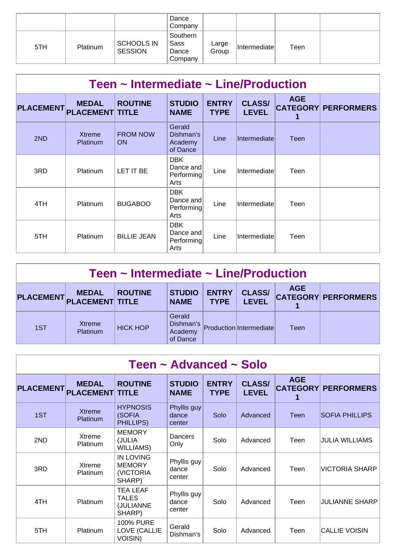|     |          |                                     | Dance<br>Company                     |                |                      |      |  |
|-----|----------|-------------------------------------|--------------------------------------|----------------|----------------------|------|--|
| 5TH | Platinum | <b>SCHOOLS IN</b><br><b>SESSION</b> | Southern<br>Sass<br>Dance<br>Company | Large<br>Group | <b>Intermediatel</b> | Teen |  |

| Teen $\sim$ Intermediate $\sim$ Line/Production |                                        |                              |                                               |                             |                               |                 |                            |  |  |  |
|-------------------------------------------------|----------------------------------------|------------------------------|-----------------------------------------------|-----------------------------|-------------------------------|-----------------|----------------------------|--|--|--|
| <b>PLACEMENT</b>                                | <b>MEDAL</b><br><b>PLACEMENT TITLE</b> | <b>ROUTINE</b>               | <b>STUDIO</b><br><b>NAME</b>                  | <b>ENTRY</b><br><b>TYPE</b> | <b>CLASS/</b><br><b>LEVEL</b> | <b>AGE</b><br>1 | <b>CATEGORY PERFORMERS</b> |  |  |  |
| 2ND                                             | Xtreme<br>Platinum                     | <b>FROM NOW</b><br><b>ON</b> | Gerald<br>Dishman's<br>Academy<br>of Dance    | Line                        | Intermediatel                 | Teen            |                            |  |  |  |
| 3RD                                             | <b>Platinum</b>                        | LET IT BE                    | <b>DBK</b><br>Dance and<br>Performing<br>Arts | Line                        | Intermediate                  | Teen            |                            |  |  |  |
| 4TH                                             | <b>Platinum</b>                        | <b>BUGABOO</b>               | <b>DBK</b><br>Dance and<br>Performing<br>Arts | Line                        | Intermediate                  | Teen            |                            |  |  |  |
| 5TH                                             | <b>Platinum</b>                        | <b>BILLIE JEAN</b>           | <b>DBK</b><br>Dance and<br>Performing<br>Arts | Line                        | Intermediate                  | Teen            |                            |  |  |  |

| Teen $\sim$ Intermediate $\sim$ Line/Production |                                        |                 |                                            |                             |                               |            |                            |  |  |
|-------------------------------------------------|----------------------------------------|-----------------|--------------------------------------------|-----------------------------|-------------------------------|------------|----------------------------|--|--|
| <b>PLACEMENT</b>                                | <b>MEDAL</b><br><b>PLACEMENT TITLE</b> | <b>ROUTINE</b>  | <b>STUDIO</b><br><b>NAME</b>               | <b>ENTRY</b><br><b>TYPE</b> | <b>CLASS/</b><br><b>LEVEL</b> | <b>AGE</b> | <b>CATEGORY PERFORMERS</b> |  |  |
| 1ST                                             | <b>Xtreme</b><br>Platinum              | <b>HICK HOP</b> | Gerald<br>Dishman's<br>Academy<br>of Dance |                             | Production Intermediate       | Teen       |                            |  |  |

| Teen ~ Advanced ~ Solo |                                        |                                                          |                                |                             |                               |                               |                       |  |  |  |  |
|------------------------|----------------------------------------|----------------------------------------------------------|--------------------------------|-----------------------------|-------------------------------|-------------------------------|-----------------------|--|--|--|--|
| <b>PLACEMENT</b>       | <b>MEDAL</b><br><b>PLACEMENT TITLE</b> | <b>ROUTINE</b>                                           | <b>STUDIO</b><br><b>NAME</b>   | <b>ENTRY</b><br><b>TYPE</b> | <b>CLASS/</b><br><b>LEVEL</b> | <b>AGE</b><br><b>CATEGORY</b> | <b>PERFORMERS</b>     |  |  |  |  |
| 1ST                    | <b>Xtreme</b><br><b>Platinum</b>       | <b>HYPNOSIS</b><br>(SOFIA<br>PHILLIPS)                   | Phyllis guy<br>dance<br>center | Solo                        | Advanced                      | Teen                          | <b>SOFIA PHILLIPS</b> |  |  |  |  |
| 2ND                    | Xtreme<br><b>Platinum</b>              | <b>MEMORY</b><br>(JULIA<br><b>WILLIAMS)</b>              | Dancers<br>Only                | Solo                        | Advanced                      | Teen                          | <b>JULIA WILLIAMS</b> |  |  |  |  |
| 3RD                    | Xtreme<br>Platinum                     | <b>IN LOVING</b><br><b>MEMORY</b><br>(VICTORIA<br>SHARP) | Phyllis guy<br>dance<br>center | Solo                        | Advanced                      | Teen                          | <b>VICTORIA SHARP</b> |  |  |  |  |
| 4TH                    | <b>Platinum</b>                        | <b>TEA LEAF</b><br><b>TALES</b><br>(JULIANNE<br>SHARP)   | Phyllis guy<br>dance<br>center | Solo                        | Advanced                      | Teen                          | <b>JULIANNE SHARP</b> |  |  |  |  |
| 5TH                    | Platinum                               | <b>100% PURE</b><br>LOVE (CALLIE<br><b>VOISIN)</b>       | Gerald<br>Dishman's            | Solo                        | Advanced                      | Teen                          | <b>CALLIE VOISIN</b>  |  |  |  |  |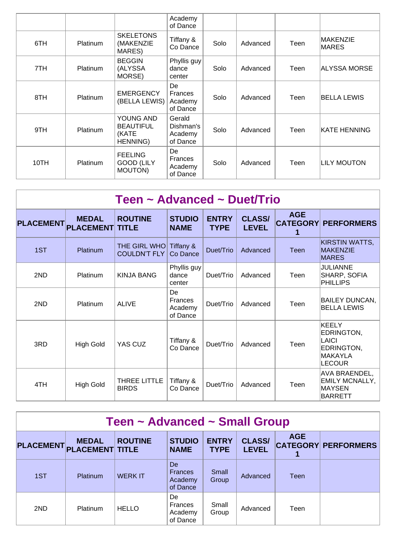|      |                 |                                                           | Academy<br>of Dance                         |      |          |      |                     |
|------|-----------------|-----------------------------------------------------------|---------------------------------------------|------|----------|------|---------------------|
| 6TH  | <b>Platinum</b> | <b>SKELETONS</b><br>(MAKENZIE<br>MARES)                   | Tiffany &<br>Co Dance                       | Solo | Advanced | Teen | MAKENZIE<br>MARES   |
| 7TH  | Platinum        | <b>BEGGIN</b><br>(ALYSSA<br>MORSE)                        | Phyllis guy<br>dance<br>center              | Solo | Advanced | Teen | ALYSSA MORSE        |
| 8TH  | Platinum        | <b>EMERGENCY</b><br>(BELLA LEWIS)                         | De<br>Frances<br>Academy<br>of Dance        | Solo | Advanced | Teen | <b>BELLA LEWIS</b>  |
| 9TH  | Platinum        | YOUNG AND<br><b>BEAUTIFUL</b><br>(KATE<br><b>HENNING)</b> | Gerald<br>Dishman's<br>Academy<br>of Dance  | Solo | Advanced | Teen | <b>KATE HENNING</b> |
| 10TH | Platinum        | <b>FEELING</b><br><b>GOOD (LILY</b><br>MOUTON)            | De<br><b>Frances</b><br>Academy<br>of Dance | Solo | Advanced | Teen | LILY MOUTON         |

| Teen ~ Advanced ~ Duet/Trio |                                  |                                     |                                      |                             |                               |                               |                                                                                      |  |  |  |  |
|-----------------------------|----------------------------------|-------------------------------------|--------------------------------------|-----------------------------|-------------------------------|-------------------------------|--------------------------------------------------------------------------------------|--|--|--|--|
| <b>PLACEMENT</b>            | <b>MEDAL</b><br><b>PLACEMENT</b> | <b>ROUTINE</b><br><b>TITLE</b>      | <b>STUDIO</b><br><b>NAME</b>         | <b>ENTRY</b><br><b>TYPE</b> | <b>CLASS/</b><br><b>LEVEL</b> | <b>AGE</b><br><b>CATEGORY</b> | <b>PERFORMERS</b>                                                                    |  |  |  |  |
| 1ST                         | Platinum                         | THE GIRL WHO<br><b>COULDN'T FLY</b> | Tiffany &<br>Co Dance                | Duet/Trio                   | Advanced                      | Teen                          | <b>KIRSTIN WATTS,</b><br><b>MAKENZIE</b><br><b>MARES</b>                             |  |  |  |  |
| 2ND                         | Platinum                         | <b>KINJA BANG</b>                   | Phyllis guy<br>dance<br>center       | Duet/Trio                   | Advanced                      | Teen                          | JULIANNE<br>SHARP, SOFIA<br><b>PHILLIPS</b>                                          |  |  |  |  |
| 2ND                         | Platinum                         | <b>ALIVE</b>                        | De<br>Frances<br>Academy<br>of Dance | Duet/Trio                   | Advanced                      | Teen                          | <b>BAILEY DUNCAN,</b><br><b>BELLA LEWIS</b>                                          |  |  |  |  |
| 3RD                         | <b>High Gold</b>                 | YAS CUZ                             | Tiffany &<br>Co Dance                | Duet/Trio                   | Advanced                      | Teen                          | KEELY<br>EDRINGTON,<br><b>LAICI</b><br>EDRINGTON,<br><b>MAKAYLA</b><br><b>LECOUR</b> |  |  |  |  |
| 4TH                         | <b>High Gold</b>                 | THREE LITTLE<br><b>BIRDS</b>        | Tiffany &<br>Co Dance                | Duet/Trio                   | Advanced                      | Teen                          | AVA BRAENDEL,<br><b>EMILY MCNALLY,</b><br><b>MAYSEN</b><br><b>BARRETT</b>            |  |  |  |  |

| Teen ~ Advanced ~ Small Group |                                        |                |                                             |                             |                               |            |                            |  |  |  |
|-------------------------------|----------------------------------------|----------------|---------------------------------------------|-----------------------------|-------------------------------|------------|----------------------------|--|--|--|
| <b>PLACEMENT</b>              | <b>MEDAL</b><br><b>PLACEMENT TITLE</b> | <b>ROUTINE</b> | <b>STUDIO</b><br><b>NAME</b>                | <b>ENTRY</b><br><b>TYPE</b> | <b>CLASS/</b><br><b>LEVEL</b> | <b>AGE</b> | <b>CATEGORY PERFORMERS</b> |  |  |  |
| 1ST                           | Platinum                               | <b>WERKIT</b>  | De<br><b>Frances</b><br>Academy<br>of Dance | Small<br>Group              | Advanced                      | Teen       |                            |  |  |  |
| 2ND                           | Platinum                               | <b>HELLO</b>   | De<br>Frances<br>Academy<br>of Dance        | Small<br>Group              | Advanced                      | Teen       |                            |  |  |  |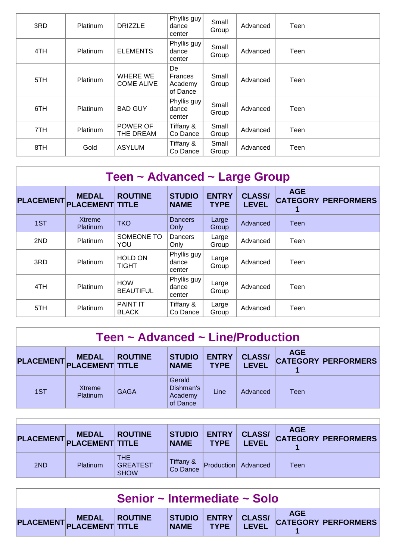| 3RD | Platinum        | <b>DRIZZLE</b>                | Phyllis guy<br>dance<br>center              | Small<br>Group | Advanced | Teen |  |
|-----|-----------------|-------------------------------|---------------------------------------------|----------------|----------|------|--|
| 4TH | <b>Platinum</b> | <b>ELEMENTS</b>               | Phyllis guy<br>dance<br>center              | Small<br>Group | Advanced | Teen |  |
| 5TH | Platinum        | WHERE WE<br><b>COME ALIVE</b> | De<br><b>Frances</b><br>Academy<br>of Dance | Small<br>Group | Advanced | Teen |  |
| 6TH | Platinum        | <b>BAD GUY</b>                | Phyllis guy<br>dance<br>center              | Small<br>Group | Advanced | Teen |  |
| 7TH | Platinum        | POWER OF<br>THE DREAM         | Tiffany &<br>Co Dance                       | Small<br>Group | Advanced | Teen |  |
| 8TH | Gold            | <b>ASYLUM</b>                 | Tiffany &<br>Co Dance                       | Small<br>Group | Advanced | Teen |  |

| Teen ~ Advanced ~ Large Group |                                        |                                 |                                |                             |                               |            |                            |  |  |  |
|-------------------------------|----------------------------------------|---------------------------------|--------------------------------|-----------------------------|-------------------------------|------------|----------------------------|--|--|--|
| <b>PLACEMENT</b>              | <b>MEDAL</b><br><b>PLACEMENT TITLE</b> | <b>ROUTINE</b>                  | <b>STUDIO</b><br><b>NAME</b>   | <b>ENTRY</b><br><b>TYPE</b> | <b>CLASS/</b><br><b>LEVEL</b> | <b>AGE</b> | <b>CATEGORY PERFORMERS</b> |  |  |  |
| 1ST                           | <b>Xtreme</b><br>Platinum              | <b>TKO</b>                      | <b>Dancers</b><br>Only         | Large<br>Group              | Advanced                      | Teen       |                            |  |  |  |
| 2ND                           | Platinum                               | SOMEONE TO<br>YOU               | Dancers<br>Only                | Large<br>Group              | Advanced                      | Teen       |                            |  |  |  |
| 3RD                           | Platinum                               | <b>HOLD ON</b><br><b>TIGHT</b>  | Phyllis guy<br>dance<br>center | Large<br>Group              | Advanced                      | Teen       |                            |  |  |  |
| 4TH                           | Platinum                               | <b>HOW</b><br><b>BEAUTIFUL</b>  | Phyllis guy<br>dance<br>center | Large<br>Group              | Advanced                      | Teen       |                            |  |  |  |
| 5TH                           | Platinum                               | <b>PAINT IT</b><br><b>BLACK</b> | Tiffany &<br>Co Dance          | Large<br>Group              | Advanced                      | Teen       |                            |  |  |  |

| Teen ~ Advanced ~ Line/Production                                                                                                                                                                       |                    |             |                                            |      |          |      |  |  |  |  |
|---------------------------------------------------------------------------------------------------------------------------------------------------------------------------------------------------------|--------------------|-------------|--------------------------------------------|------|----------|------|--|--|--|--|
| <b>AGE</b><br><b>CLASS/</b><br><b>ENTRY</b><br><b>STUDIO</b><br><b>ROUTINE</b><br><b>MEDAL</b><br><b>CATEGORY PERFORMERS</b><br>PLACEMENT PLACEMENT TITLE<br><b>LEVEL</b><br><b>TYPE</b><br><b>NAME</b> |                    |             |                                            |      |          |      |  |  |  |  |
| 1ST                                                                                                                                                                                                     | Xtreme<br>Platinum | <b>GAGA</b> | Gerald<br>Dishman's<br>Academy<br>of Dance | Line | Advanced | Teen |  |  |  |  |

|     | <b>MEDAL</b><br>PLACEMENT PLACEMENT TITLE | <b>ROUTINE</b>                               | <b>STUDIO</b><br><b>NAME</b> | <b>ENTRY</b><br><b>TYPE</b> | <b>CLASS/</b><br><b>LEVEL</b> | <b>AGE</b> | <b>CATEGORY PERFORMERS</b> |
|-----|-------------------------------------------|----------------------------------------------|------------------------------|-----------------------------|-------------------------------|------------|----------------------------|
| 2ND | Platinum                                  | <b>THE</b><br><b>GREATEST</b><br><b>SHOW</b> | Tiffany &<br>Co Dance        | $ $ Production $ $          | Advanced                      | Teen       |                            |

| Senior ~ Intermediate ~ Solo |                         |  |  |  |  |  |                                          |  |  |
|------------------------------|-------------------------|--|--|--|--|--|------------------------------------------|--|--|
|                              | PLACEMENT MEDAL ROUTINE |  |  |  |  |  | STUDIO ENTRY CLASS/ AGE AGE Y PERFORMERS |  |  |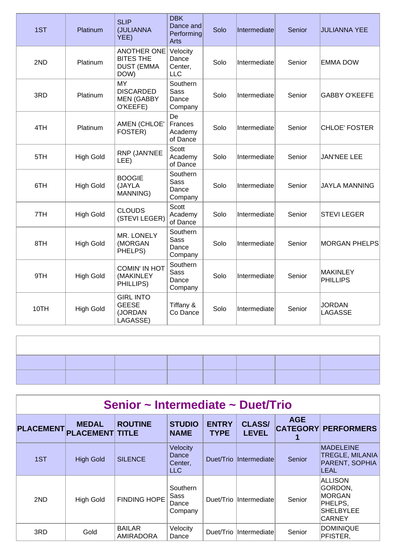| 1ST  | Platinum         | <b>SLIP</b><br>(JULIANNA<br>YEE)                                    | <b>DBK</b><br>Dance and<br>Performing<br>Arts | Solo | Intermediate | Senior | <b>JULIANNA YEE</b>                |
|------|------------------|---------------------------------------------------------------------|-----------------------------------------------|------|--------------|--------|------------------------------------|
| 2ND  | Platinum         | <b>ANOTHER ONE</b><br><b>BITES THE</b><br><b>DUST (EMMA</b><br>DOW) | Velocity<br>Dance<br>Center,<br><b>LLC</b>    | Solo | Intermediate | Senior | <b>EMMA DOW</b>                    |
| 3RD  | Platinum         | <b>MY</b><br><b>DISCARDED</b><br><b>MEN (GABBY</b><br>O'KEEFE)      | Southern<br><b>Sass</b><br>Dance<br>Company   | Solo | Intermediate | Senior | <b>GABBY O'KEEFE</b>               |
| 4TH  | Platinum         | AMEN (CHLOE'<br>FOSTER)                                             | De<br>Frances<br>Academy<br>of Dance          | Solo | Intermediate | Senior | CHLOE' FOSTER                      |
| 5TH  | <b>High Gold</b> | RNP (JAN'NEE<br>LEE)                                                | Scott<br>Academy<br>of Dance                  | Solo | Intermediate | Senior | <b>JAN'NEE LEE</b>                 |
| 6TH  | <b>High Gold</b> | <b>BOOGIE</b><br>(JAYLA<br>MANNING)                                 | Southern<br><b>Sass</b><br>Dance<br>Company   | Solo | Intermediate | Senior | <b>JAYLA MANNING</b>               |
| 7TH  | <b>High Gold</b> | <b>CLOUDS</b><br>(STEVI LEGER)                                      | Scott<br>Academy<br>of Dance                  | Solo | Intermediate | Senior | <b>STEVILEGER</b>                  |
| 8TH  | <b>High Gold</b> | MR. LONELY<br>(MORGAN<br>PHELPS)                                    | Southern<br><b>Sass</b><br>Dance<br>Company   | Solo | Intermediate | Senior | <b>MORGAN PHELPS</b>               |
| 9TH  | <b>High Gold</b> | <b>COMIN' IN HOT</b><br>(MAKINLEY<br>PHILLIPS)                      | Southern<br>Sass<br>Dance<br>Company          | Solo | Intermediate | Senior | <b>MAKINLEY</b><br><b>PHILLIPS</b> |
| 10TH | <b>High Gold</b> | <b>GIRL INTO</b><br><b>GEESE</b><br>(JORDAN<br>LAGASSE)             | Tiffany &<br>Co Dance                         | Solo | Intermediate | Senior | <b>JORDAN</b><br>LAGASSE           |

### **Senior ~ Intermediate ~ Duet/Trio**

| <b>PLACEMENT</b> | <b>MEDAL</b><br><b>PLACEMENT TITLE</b> | <b>ROUTINE</b>                    | <b>STUDIO</b><br><b>NAME</b>               | <b>ENTRY</b><br><b>TYPE</b> | <b>CLASS/</b><br><b>LEVEL</b> | <b>AGE</b> | <b>CATEGORY PERFORMERS</b>                                                   |
|------------------|----------------------------------------|-----------------------------------|--------------------------------------------|-----------------------------|-------------------------------|------------|------------------------------------------------------------------------------|
| 1ST              | <b>High Gold</b>                       | <b>SILENCE</b>                    | Velocity<br>Dance<br>Center,<br><b>LLC</b> |                             | Duet/Trio Intermediate        | Senior     | <b>MADELEINE</b><br><b>TREGLE, MILANIA</b><br>PARENT, SOPHIA<br><b>LEAL</b>  |
| 2ND              | <b>High Gold</b>                       | <b>FINDING HOPE</b>               | Southern<br>Sass<br>Dance<br>Company       |                             | Duet/Trio Intermediate        | Senior     | ALLISON<br>GORDON,<br><b>MORGAN</b><br>PHELPS,<br>SHELBYLEE<br><b>CARNEY</b> |
| 3RD              | Gold                                   | <b>BAILAR</b><br><b>AMIRADORA</b> | Velocity<br>Dance                          | Duet/Trio                   | Intermediate                  | Senior     | DOMINIQUE<br>PFISTER.                                                        |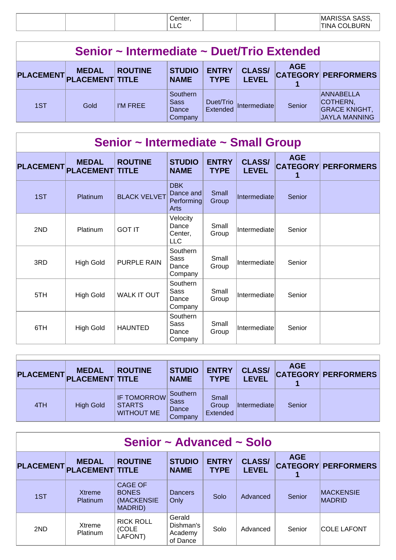# **Senior ~ Intermediate ~ Duet/Trio Extended**

| PLACEMENT PLACEMENT TITLE | <b>MEDAL</b> | <b>ROUTINE</b> | <b>STUDIO</b><br><b>NAME</b>         | <b>ENTRY</b><br><b>TYPE</b> | <b>CLASS/</b><br><b>LEVEL</b> | <b>AGE</b> | <b>CATEGORY PERFORMERS</b>                                                   |
|---------------------------|--------------|----------------|--------------------------------------|-----------------------------|-------------------------------|------------|------------------------------------------------------------------------------|
| 1ST                       | Gold         | I'M FREE       | Southern<br>Sass<br>Dance<br>Company | Duet/Trio<br>Extended       | Intermediate                  | Senior     | <b>ANNABELLA</b><br>COTHERN,<br><b>GRACE KNIGHT,</b><br><b>JAYLA MANNING</b> |

# **Senior ~ Intermediate ~ Small Group**

| <b>PLACEMENT</b> | <b>MEDAL</b><br><b>PLACEMENT TITLE</b> | <b>ROUTINE</b>      | <b>STUDIO</b><br><b>NAME</b>                  | <b>ENTRY</b><br><b>TYPE</b> | <b>CLASS/</b><br><b>LEVEL</b> | <b>AGE</b><br>1 | <b>CATEGORY PERFORMERS</b> |
|------------------|----------------------------------------|---------------------|-----------------------------------------------|-----------------------------|-------------------------------|-----------------|----------------------------|
| 1ST              | Platinum                               | <b>BLACK VELVET</b> | <b>DBK</b><br>Dance and<br>Performing<br>Arts | Small<br>Group              | Intermediate                  | Senior          |                            |
| 2ND              | Platinum                               | <b>GOT IT</b>       | Velocity<br>Dance<br>Center,<br><b>LLC</b>    | Small<br>Group              | Intermediate                  | Senior          |                            |
| 3RD              | <b>High Gold</b>                       | <b>PURPLE RAIN</b>  | Southern<br>Sass<br>Dance<br>Company          | Small<br>Group              | Intermediate                  | Senior          |                            |
| 5TH              | <b>High Gold</b>                       | <b>WALK IT OUT</b>  | Southern<br>Sass<br>Dance<br>Company          | Small<br>Group              | Intermediate                  | Senior          |                            |
| 6TH              | <b>High Gold</b>                       | <b>HAUNTED</b>      | Southern<br>Sass<br>Dance<br>Company          | Small<br>Group              | Intermediate                  | Senior          |                            |

| PLACEMENT. | <b>MEDAL</b><br><b>PLACEMENT TITLE</b> | <b>ROUTINE</b>                                           | <b>STUDIO</b><br><b>NAME</b>                | <b>ENTRY</b><br><b>TYPE</b> | <b>CLASS/</b><br><b>LEVEL</b> | <b>AGE</b> | <b>CATEGORY PERFORMERS</b> |
|------------|----------------------------------------|----------------------------------------------------------|---------------------------------------------|-----------------------------|-------------------------------|------------|----------------------------|
| 4TH        | <b>High Gold</b>                       | <b>IF TOMORROW</b><br><b>STARTS</b><br><b>WITHOUT ME</b> | Southern<br><b>Sass</b><br>Dance<br>Company | Small<br>Group<br>Extended  | Intermediatel                 | Senior     |                            |

| Senior ~ Advanced ~ Solo |                                        |                                                                |                                            |                             |                               |            |                                   |  |  |
|--------------------------|----------------------------------------|----------------------------------------------------------------|--------------------------------------------|-----------------------------|-------------------------------|------------|-----------------------------------|--|--|
| <b>PLACEMENT</b>         | <b>MEDAL</b><br><b>PLACEMENT TITLE</b> | <b>ROUTINE</b>                                                 | <b>STUDIO</b><br><b>NAME</b>               | <b>ENTRY</b><br><b>TYPE</b> | <b>CLASS/</b><br><b>LEVEL</b> | <b>AGE</b> | <b>CATEGORY PERFORMERS</b>        |  |  |
| 1ST                      | Xtreme<br>Platinum                     | <b>CAGE OF</b><br><b>BONES</b><br>(MACKENSIE<br><b>MADRID)</b> | <b>Dancers</b><br>Only                     | Solo                        | Advanced                      | Senior     | <b>MACKENSIE</b><br><b>MADRID</b> |  |  |
| 2ND                      | Xtreme<br><b>Platinum</b>              | <b>RICK ROLL</b><br>(COLE<br>LAFONT)                           | Gerald<br>Dishman's<br>Academy<br>of Dance | Solo                        | Advanced                      | Senior     | <b>COLE LAFONT</b>                |  |  |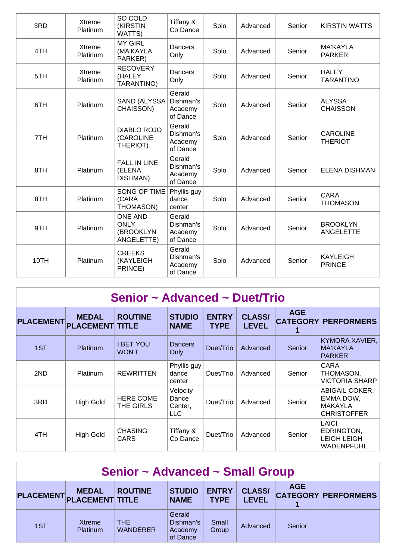| 3RD  | <b>Xtreme</b><br>Platinum | SO COLD<br>(KIRSTIN<br>WATTS)                            | Tiffany &<br>Co Dance                      | Solo | Advanced | Senior | <b>KIRSTIN WATTS</b>                |
|------|---------------------------|----------------------------------------------------------|--------------------------------------------|------|----------|--------|-------------------------------------|
| 4TH  | Xtreme<br>Platinum        | <b>MY GIRL</b><br>(MA'KAYLA<br>PARKER)                   | Dancers<br>Only                            | Solo | Advanced | Senior | MA'KAYLA<br><b>PARKER</b>           |
| 5TH  | Xtreme<br>Platinum        | <b>RECOVERY</b><br>(HALEY<br>TARANTINO)                  | Dancers<br>Only                            | Solo | Advanced | Senior | <b>HALEY</b><br><b>TARANTINO</b>    |
| 6TH  | Platinum                  | SAND (ALYSSA<br>CHAISSON)                                | Gerald<br>Dishman's<br>Academy<br>of Dance | Solo | Advanced | Senior | ALYSSA<br><b>CHAISSON</b>           |
| 7TH  | Platinum                  | <b>DIABLO ROJO</b><br>(CAROLINE<br>THERIOT)              | Gerald<br>Dishman's<br>Academy<br>of Dance | Solo | Advanced | Senior | <b>CAROLINE</b><br><b>THERIOT</b>   |
| 8TH  | Platinum                  | <b>FALL IN LINE</b><br>(ELENA<br>DISHMAN)                | Gerald<br>Dishman's<br>Academy<br>of Dance | Solo | Advanced | Senior | <b>ELENA DISHMAN</b>                |
| 8TH  | Platinum                  | <b>SONG OF TIME</b><br>(CARA<br>THOMASON)                | Phyllis guy<br>dance<br>center             | Solo | Advanced | Senior | <b>CARA</b><br><b>THOMASON</b>      |
| 9TH  | Platinum                  | <b>ONE AND</b><br><b>ONLY</b><br>(BROOKLYN<br>ANGELETTE) | Gerald<br>Dishman's<br>Academy<br>of Dance | Solo | Advanced | Senior | <b>BROOKLYN</b><br><b>ANGELETTE</b> |
| 10TH | Platinum                  | <b>CREEKS</b><br>(KAYLEIGH<br>PRINCE)                    | Gerald<br>Dishman's<br>Academy<br>of Dance | Solo | Advanced | Senior | <b>KAYLEIGH</b><br><b>PRINCE</b>    |

| Senior ~ Advanced ~ Duet/Trio |  |
|-------------------------------|--|
|-------------------------------|--|

| <b>PLACEMENT</b> | <b>MEDAL</b><br><b>PLACEMENT TITLE</b> | <b>ROUTINE</b>                | <b>STUDIO</b><br><b>NAME</b>               | <b>ENTRY</b><br><b>TYPE</b> | <b>CLASS/</b><br><b>LEVEL</b> | <b>AGE</b> | <b>CATEGORY PERFORMERS</b>                                          |
|------------------|----------------------------------------|-------------------------------|--------------------------------------------|-----------------------------|-------------------------------|------------|---------------------------------------------------------------------|
| 1ST              | Platinum                               | I BET YOU<br><b>WON'T</b>     | <b>Dancers</b><br>Only                     | Duet/Trio                   | Advanced                      | Senior     | <b>KYMORA XAVIER,</b><br><b>MA'KAYLA</b><br><b>PARKER</b>           |
| 2ND              | <b>Platinum</b>                        | <b>REWRITTEN</b>              | Phyllis guy<br>dance<br>center             | Duet/Trio                   | Advanced                      | Senior     | <b>CARA</b><br>THOMASON,<br><b>VICTORIA SHARP</b>                   |
| 3RD              | <b>High Gold</b>                       | <b>HERE COME</b><br>THE GIRLS | Velocity<br>Dance<br>Center,<br><b>LLC</b> | Duet/Trio                   | Advanced                      | Senior     | ABIGAIL COKER,<br>EMMA DOW,<br><b>MAKAYLA</b><br><b>CHRISTOFFER</b> |
| 4TH              | <b>High Gold</b>                       | <b>CHASING</b><br>CARS        | Tiffany &<br>Co Dance                      | Duet/Trio                   | Advanced                      | Senior     | LAICI<br>EDRINGTON,<br><b>LEIGH LEIGH</b><br><b>WADENPFUHL</b>      |

| <b>Senior ~ Advanced ~ Small Group</b> |                                           |                         |                                            |                             |                               |            |                            |  |  |
|----------------------------------------|-------------------------------------------|-------------------------|--------------------------------------------|-----------------------------|-------------------------------|------------|----------------------------|--|--|
|                                        | <b>MEDAL</b><br>PLACEMENT PLACEMENT TITLE | <b>ROUTINE</b>          | <b>STUDIO</b><br><b>NAME</b>               | <b>ENTRY</b><br><b>TYPE</b> | <b>CLASS/</b><br><b>LEVEL</b> | <b>AGE</b> | <b>CATEGORY PERFORMERS</b> |  |  |
| 1ST                                    | Xtreme<br>Platinum                        | THE.<br><b>WANDERER</b> | Gerald<br>Dishman's<br>Academy<br>of Dance | Small<br>Group              | Advanced                      | Senior     |                            |  |  |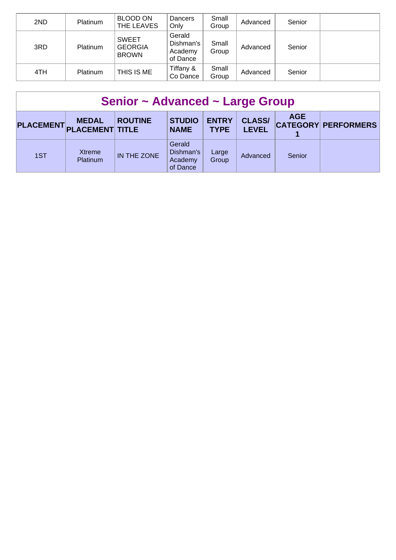| 2ND | Platinum | <b>BLOOD ON</b><br>THE LEAVES                  | Dancers<br>Only                            | Small<br>Group | Advanced | Senior |  |
|-----|----------|------------------------------------------------|--------------------------------------------|----------------|----------|--------|--|
| 3RD | Platinum | <b>SWEET</b><br><b>GEORGIA</b><br><b>BROWN</b> | Gerald<br>Dishman's<br>Academy<br>of Dance | Small<br>Group | Advanced | Senior |  |
| 4TH | Platinum | THIS IS ME                                     | Tiffany &<br>Co Dance                      | Small<br>Group | Advanced | Senior |  |

| Senior ~ Advanced ~ Large Group |                                        |                |                                            |                             |                               |            |                            |  |  |  |
|---------------------------------|----------------------------------------|----------------|--------------------------------------------|-----------------------------|-------------------------------|------------|----------------------------|--|--|--|
| <b>PLACEMENT</b>                | <b>MEDAL</b><br><b>PLACEMENT TITLE</b> | <b>ROUTINE</b> | <b>STUDIO</b><br><b>NAME</b>               | <b>ENTRY</b><br><b>TYPE</b> | <b>CLASS/</b><br><b>LEVEL</b> | <b>AGE</b> | <b>CATEGORY PERFORMERS</b> |  |  |  |
| 1ST                             | Xtreme<br>Platinum                     | IN THE ZONE    | Gerald<br>Dishman's<br>Academy<br>of Dance | Large<br>Group              | Advanced                      | Senior     |                            |  |  |  |